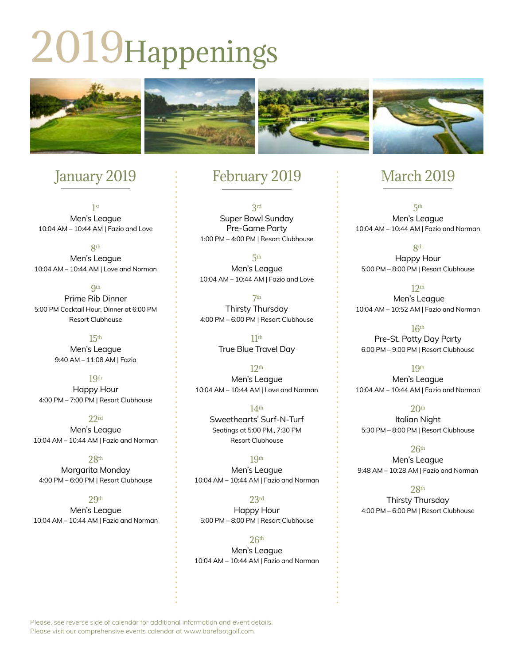# 2019Happenings



# January 2019

1st Men's League 10:04 AM – 10:44 AM | Fazio and Love

8th Men's League 10:04 AM – 10:44 AM | Love and Norman

**9th** Prime Rib Dinner 5:00 PM Cocktail Hour, Dinner at 6:00 PM Resort Clubhouse

> $15<sup>th</sup>$ Men's League 9:40 AM – 11:08 AM | Fazio

> > 19th

Happy Hour 4:00 PM – 7:00 PM | Resort Clubhouse

 $22rd$ Men's League 10:04 AM – 10:44 AM | Fazio and Norman

 $28<sup>th</sup>$ Margarita Monday 4:00 PM – 6:00 PM | Resort Clubhouse

> $29<sub>th</sub>$ Men's League

10:04 AM – 10:44 AM | Fazio and Norman

### February 2019

3rd Super Bowl Sunday Pre-Game Party 1:00 PM – 4:00 PM | Resort Clubhouse

5th Men's League 10:04 AM – 10:44 AM | Fazio and Love

7th Thirsty Thursday 4:00 PM – 6:00 PM | Resort Clubhouse

> 11th True Blue Travel Day

 $12<sup>th</sup>$ Men's League 10:04 AM – 10:44 AM | Love and Norman

> 14th Sweethearts' Surf-N-Turf Seatings at 5:00 PM., 7:30 PM Resort Clubhouse

19th Men's League 10:04 AM – 10:44 AM | Fazio and Norman

23rd Happy Hour 5:00 PM – 8:00 PM | Resort Clubhouse

 $26<sup>th</sup>$ Men's League 10:04 AM – 10:44 AM | Fazio and Norman

## March 2019

5th Men's League 10:04 AM – 10:44 AM | Fazio and Norman

8th Happy Hour 5:00 PM – 8:00 PM | Resort Clubhouse

 $12<sup>th</sup>$  Men's League 10:04 AM – 10:52 AM | Fazio and Norman

16th Pre-St. Patty Day Party 6:00 PM – 9:00 PM | Resort Clubhouse

19th Men's League 10:04 AM – 10:44 AM | Fazio and Norman

 $20<sup>th</sup>$ Italian Night 5:30 PM – 8:00 PM | Resort Clubhouse

 $26<sup>th</sup>$ Men's League 9:48 AM – 10:28 AM | Fazio and Norman

28th Thirsty Thursday 4:00 PM – 6:00 PM | Resort Clubhouse

Please, see reverse side of calendar for additional information and event details. Please visit our comprehensive events calendar at www.barefootgolf.com